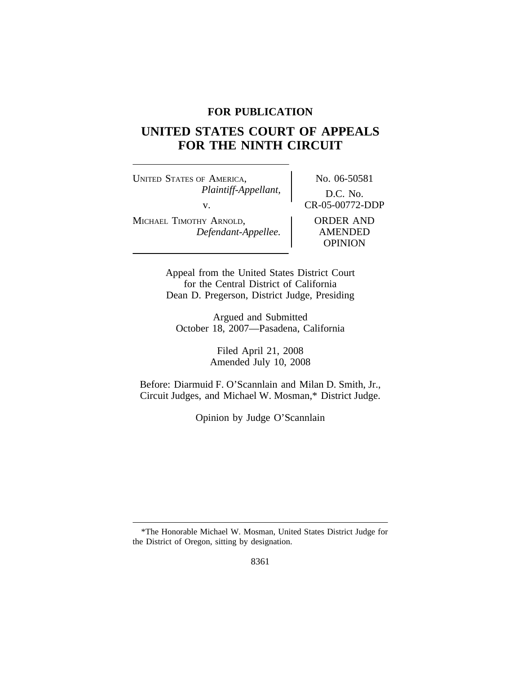### **FOR PUBLICATION**

# **UNITED STATES COURT OF APPEALS FOR THE NINTH CIRCUIT**

UNITED STATES OF AMERICA, No. 06-50581 *Plaintiff-Appellant,* D.C. No. v.<br>
Y ARNOLD, CR-05-00772-DDP<br>
ORDER AND MICHAEL TIMOTHY ARNOLD, *Defendant-Appellee.* AMENDED

OPINION

Appeal from the United States District Court for the Central District of California Dean D. Pregerson, District Judge, Presiding

Argued and Submitted October 18, 2007—Pasadena, California

> Filed April 21, 2008 Amended July 10, 2008

Before: Diarmuid F. O'Scannlain and Milan D. Smith, Jr., Circuit Judges, and Michael W. Mosman,\* District Judge.

Opinion by Judge O'Scannlain

<sup>\*</sup>The Honorable Michael W. Mosman, United States District Judge for the District of Oregon, sitting by designation.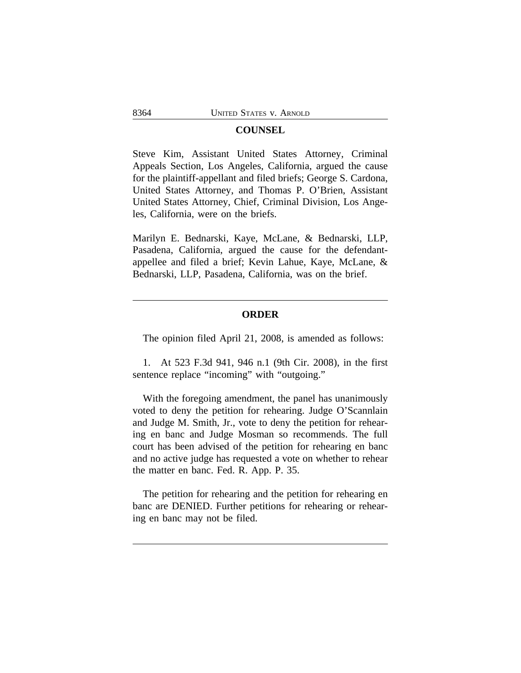#### **COUNSEL**

Steve Kim, Assistant United States Attorney, Criminal Appeals Section, Los Angeles, California, argued the cause for the plaintiff-appellant and filed briefs; George S. Cardona, United States Attorney, and Thomas P. O'Brien, Assistant United States Attorney, Chief, Criminal Division, Los Angeles, California, were on the briefs.

Marilyn E. Bednarski, Kaye, McLane, & Bednarski, LLP, Pasadena, California, argued the cause for the defendantappellee and filed a brief; Kevin Lahue, Kaye, McLane, & Bednarski, LLP, Pasadena, California, was on the brief.

#### **ORDER**

The opinion filed April 21, 2008, is amended as follows:

1. At 523 F.3d 941, 946 n.1 (9th Cir. 2008), in the first sentence replace "incoming" with "outgoing."

With the foregoing amendment, the panel has unanimously voted to deny the petition for rehearing. Judge O'Scannlain and Judge M. Smith, Jr., vote to deny the petition for rehearing en banc and Judge Mosman so recommends. The full court has been advised of the petition for rehearing en banc and no active judge has requested a vote on whether to rehear the matter en banc. Fed. R. App. P. 35.

The petition for rehearing and the petition for rehearing en banc are DENIED. Further petitions for rehearing or rehearing en banc may not be filed.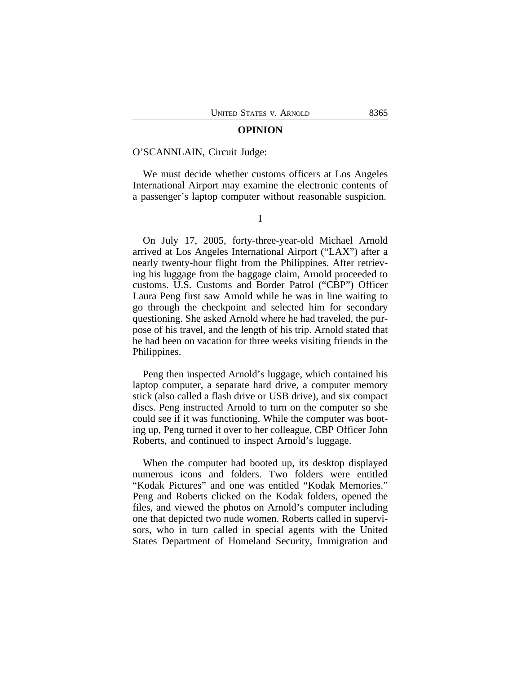#### **OPINION**

#### O'SCANNLAIN, Circuit Judge:

We must decide whether customs officers at Los Angeles International Airport may examine the electronic contents of a passenger's laptop computer without reasonable suspicion.

I

On July 17, 2005, forty-three-year-old Michael Arnold arrived at Los Angeles International Airport ("LAX") after a nearly twenty-hour flight from the Philippines. After retrieving his luggage from the baggage claim, Arnold proceeded to customs. U.S. Customs and Border Patrol ("CBP") Officer Laura Peng first saw Arnold while he was in line waiting to go through the checkpoint and selected him for secondary questioning. She asked Arnold where he had traveled, the purpose of his travel, and the length of his trip. Arnold stated that he had been on vacation for three weeks visiting friends in the Philippines.

Peng then inspected Arnold's luggage, which contained his laptop computer, a separate hard drive, a computer memory stick (also called a flash drive or USB drive), and six compact discs. Peng instructed Arnold to turn on the computer so she could see if it was functioning. While the computer was booting up, Peng turned it over to her colleague, CBP Officer John Roberts, and continued to inspect Arnold's luggage.

When the computer had booted up, its desktop displayed numerous icons and folders. Two folders were entitled "Kodak Pictures" and one was entitled "Kodak Memories." Peng and Roberts clicked on the Kodak folders, opened the files, and viewed the photos on Arnold's computer including one that depicted two nude women. Roberts called in supervisors, who in turn called in special agents with the United States Department of Homeland Security, Immigration and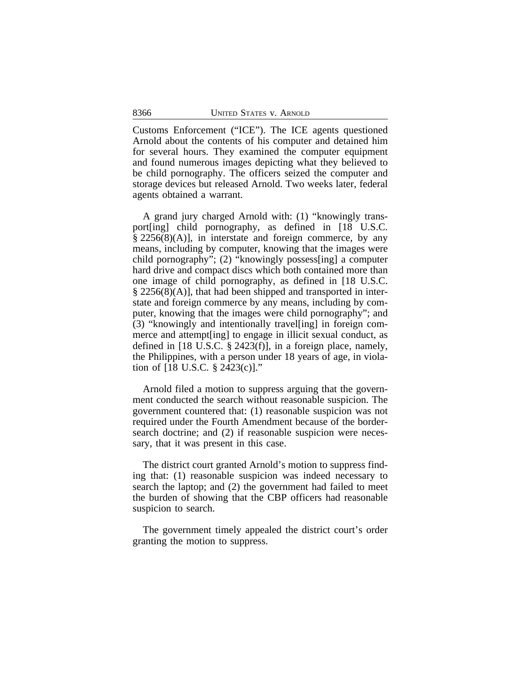Customs Enforcement ("ICE"). The ICE agents questioned Arnold about the contents of his computer and detained him for several hours. They examined the computer equipment and found numerous images depicting what they believed to be child pornography. The officers seized the computer and storage devices but released Arnold. Two weeks later, federal agents obtained a warrant.

A grand jury charged Arnold with: (1) "knowingly transport[ing] child pornography, as defined in [18 U.S.C.  $\S 2256(8)(A)$ , in interstate and foreign commerce, by any means, including by computer, knowing that the images were child pornography"; (2) "knowingly possess[ing] a computer hard drive and compact discs which both contained more than one image of child pornography, as defined in [18 U.S.C. § 2256(8)(A)], that had been shipped and transported in interstate and foreign commerce by any means, including by computer, knowing that the images were child pornography"; and (3) "knowingly and intentionally travel[ing] in foreign commerce and attempt[ing] to engage in illicit sexual conduct, as defined in [18 U.S.C. § 2423(f)], in a foreign place, namely, the Philippines, with a person under 18 years of age, in violation of [18 U.S.C. § 2423(c)]."

Arnold filed a motion to suppress arguing that the government conducted the search without reasonable suspicion. The government countered that: (1) reasonable suspicion was not required under the Fourth Amendment because of the bordersearch doctrine; and (2) if reasonable suspicion were necessary, that it was present in this case.

The district court granted Arnold's motion to suppress finding that: (1) reasonable suspicion was indeed necessary to search the laptop; and (2) the government had failed to meet the burden of showing that the CBP officers had reasonable suspicion to search.

The government timely appealed the district court's order granting the motion to suppress.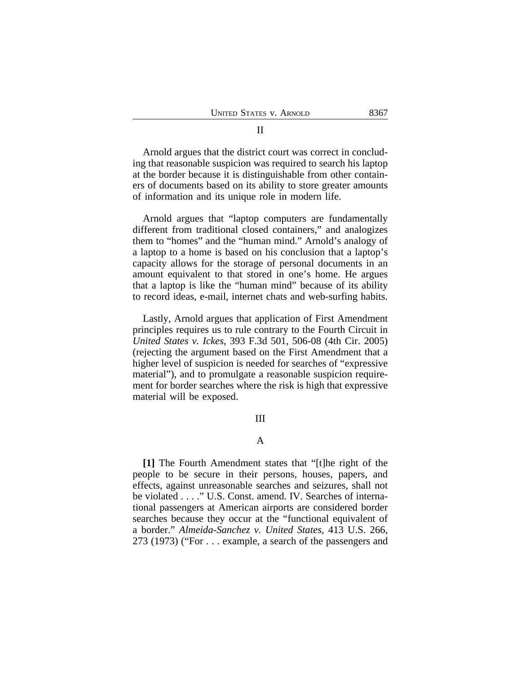Arnold argues that the district court was correct in concluding that reasonable suspicion was required to search his laptop at the border because it is distinguishable from other containers of documents based on its ability to store greater amounts of information and its unique role in modern life.

Arnold argues that "laptop computers are fundamentally different from traditional closed containers," and analogizes them to "homes" and the "human mind." Arnold's analogy of a laptop to a home is based on his conclusion that a laptop's capacity allows for the storage of personal documents in an amount equivalent to that stored in one's home. He argues that a laptop is like the "human mind" because of its ability to record ideas, e-mail, internet chats and web-surfing habits.

Lastly, Arnold argues that application of First Amendment principles requires us to rule contrary to the Fourth Circuit in *United States v. Ickes*, 393 F.3d 501, 506-08 (4th Cir. 2005) (rejecting the argument based on the First Amendment that a higher level of suspicion is needed for searches of "expressive material"), and to promulgate a reasonable suspicion requirement for border searches where the risk is high that expressive material will be exposed.

#### III

#### A

**[1]** The Fourth Amendment states that "[t]he right of the people to be secure in their persons, houses, papers, and effects, against unreasonable searches and seizures, shall not be violated . . . ." U.S. Const. amend. IV. Searches of international passengers at American airports are considered border searches because they occur at the "functional equivalent of a border." *Almeida-Sanchez v. United States*, 413 U.S. 266, 273 (1973) ("For . . . example, a search of the passengers and

### II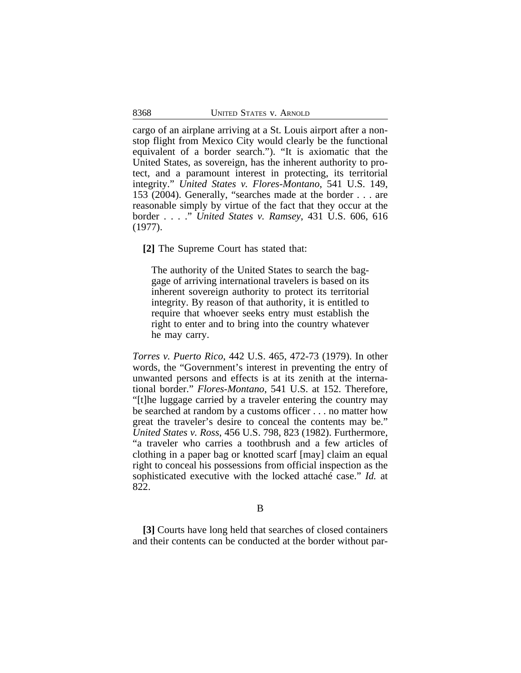cargo of an airplane arriving at a St. Louis airport after a nonstop flight from Mexico City would clearly be the functional equivalent of a border search."). "It is axiomatic that the United States, as sovereign, has the inherent authority to protect, and a paramount interest in protecting, its territorial integrity." *United States v. Flores-Montano*, 541 U.S. 149, 153 (2004). Generally, "searches made at the border . . . are reasonable simply by virtue of the fact that they occur at the border . . . ." *United States v. Ramsey*, 431 U.S. 606, 616 (1977).

**[2]** The Supreme Court has stated that:

The authority of the United States to search the baggage of arriving international travelers is based on its inherent sovereign authority to protect its territorial integrity. By reason of that authority, it is entitled to require that whoever seeks entry must establish the right to enter and to bring into the country whatever he may carry.

*Torres v. Puerto Rico*, 442 U.S. 465, 472-73 (1979). In other words, the "Government's interest in preventing the entry of unwanted persons and effects is at its zenith at the international border." *Flores-Montano*, 541 U.S. at 152. Therefore, "[t]he luggage carried by a traveler entering the country may be searched at random by a customs officer . . . no matter how great the traveler's desire to conceal the contents may be." *United States v. Ross*, 456 U.S. 798, 823 (1982). Furthermore, "a traveler who carries a toothbrush and a few articles of clothing in a paper bag or knotted scarf [may] claim an equal right to conceal his possessions from official inspection as the sophisticated executive with the locked attaché case." *Id.* at 822.

B

**[3]** Courts have long held that searches of closed containers and their contents can be conducted at the border without par-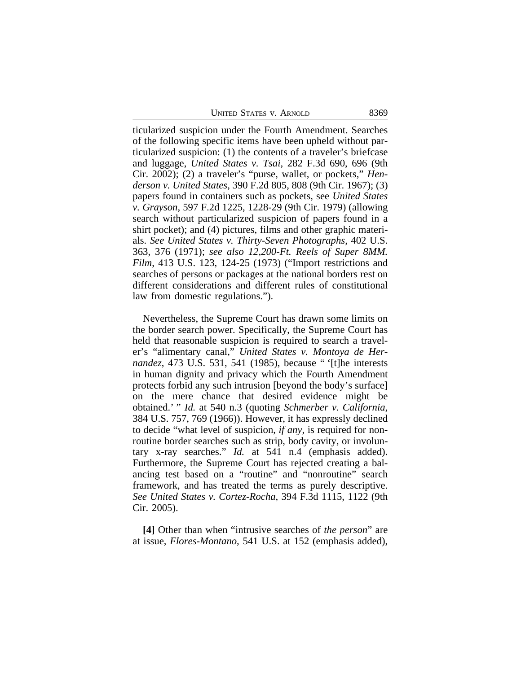UNITED STATES V. ARNOLD 8369

ticularized suspicion under the Fourth Amendment. Searches of the following specific items have been upheld without particularized suspicion: (1) the contents of a traveler's briefcase and luggage, *United States v. Tsai,* 282 F.3d 690, 696 (9th Cir. 2002); (2) a traveler's "purse, wallet, or pockets," *Henderson v. United States*, 390 F.2d 805, 808 (9th Cir. 1967); (3) papers found in containers such as pockets, see *United States v. Grayson*, 597 F.2d 1225, 1228-29 (9th Cir. 1979) (allowing search without particularized suspicion of papers found in a shirt pocket); and (4) pictures, films and other graphic materials. *See United States v. Thirty-Seven Photographs*, 402 U.S. 363, 376 (1971); *see also 12,200-Ft. Reels of Super 8MM. Film*, 413 U.S. 123, 124-25 (1973) ("Import restrictions and searches of persons or packages at the national borders rest on different considerations and different rules of constitutional law from domestic regulations.").

Nevertheless, the Supreme Court has drawn some limits on the border search power. Specifically, the Supreme Court has held that reasonable suspicion is required to search a traveler's "alimentary canal," *United States v. Montoya de Hernandez*, 473 U.S. 531, 541 (1985), because " '[t]he interests in human dignity and privacy which the Fourth Amendment protects forbid any such intrusion [beyond the body's surface] on the mere chance that desired evidence might be obtained.' " *Id.* at 540 n.3 (quoting *Schmerber v. California*, 384 U.S. 757, 769 (1966)). However, it has expressly declined to decide "what level of suspicion, *if any*, is required for nonroutine border searches such as strip, body cavity, or involuntary x-ray searches." *Id.* at 541 n.4 (emphasis added). Furthermore, the Supreme Court has rejected creating a balancing test based on a "routine" and "nonroutine" search framework, and has treated the terms as purely descriptive. *See United States v. Cortez-Rocha*, 394 F.3d 1115, 1122 (9th Cir. 2005).

**[4]** Other than when "intrusive searches of *the person*" are at issue, *Flores-Montano*, 541 U.S. at 152 (emphasis added),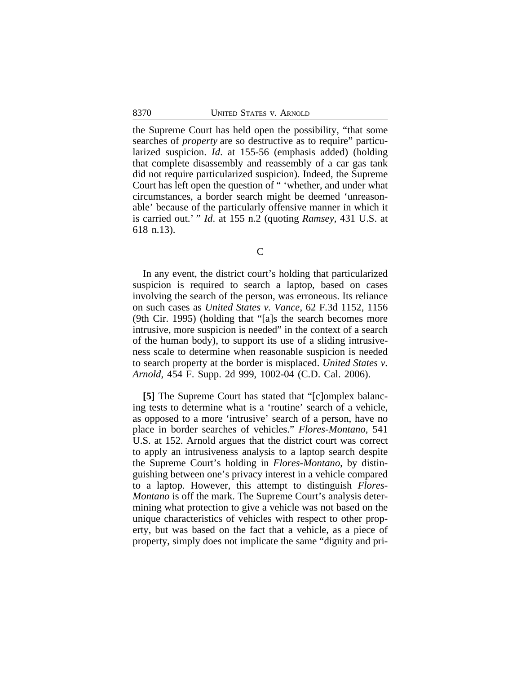the Supreme Court has held open the possibility, "that some searches of *property* are so destructive as to require" particularized suspicion. *Id*. at 155-56 (emphasis added) (holding that complete disassembly and reassembly of a car gas tank did not require particularized suspicion). Indeed, the Supreme Court has left open the question of " 'whether, and under what circumstances, a border search might be deemed 'unreasonable' because of the particularly offensive manner in which it is carried out.' " *Id*. at 155 n.2 (quoting *Ramsey*, 431 U.S. at 618 n.13).

 $\overline{C}$ 

In any event, the district court's holding that particularized suspicion is required to search a laptop, based on cases involving the search of the person, was erroneous. Its reliance on such cases as *United States v. Vance*, 62 F.3d 1152, 1156 (9th Cir. 1995) (holding that "[a]s the search becomes more intrusive, more suspicion is needed" in the context of a search of the human body), to support its use of a sliding intrusiveness scale to determine when reasonable suspicion is needed to search property at the border is misplaced. *United States v. Arnold*, 454 F. Supp. 2d 999, 1002-04 (C.D. Cal. 2006).

**[5]** The Supreme Court has stated that "[c]omplex balancing tests to determine what is a 'routine' search of a vehicle, as opposed to a more 'intrusive' search of a person, have no place in border searches of vehicles." *Flores-Montano*, 541 U.S. at 152. Arnold argues that the district court was correct to apply an intrusiveness analysis to a laptop search despite the Supreme Court's holding in *Flores-Montano*, by distinguishing between one's privacy interest in a vehicle compared to a laptop. However, this attempt to distinguish *Flores-Montano* is off the mark. The Supreme Court's analysis determining what protection to give a vehicle was not based on the unique characteristics of vehicles with respect to other property, but was based on the fact that a vehicle, as a piece of property, simply does not implicate the same "dignity and pri-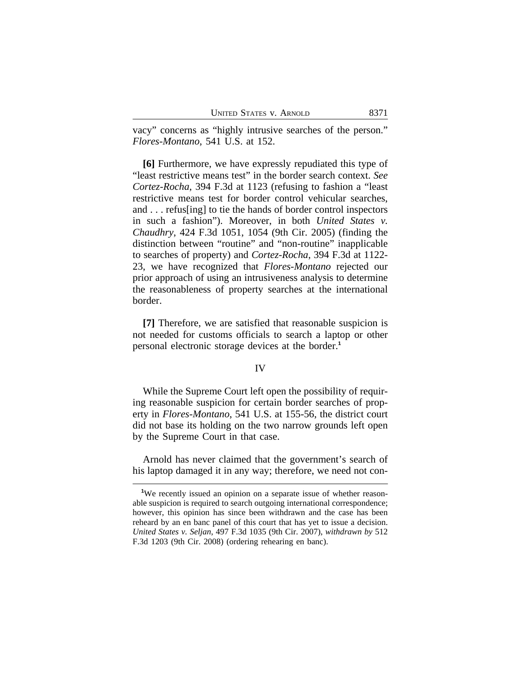vacy" concerns as "highly intrusive searches of the person." *Flores-Montano*, 541 U.S. at 152.

**[6]** Furthermore, we have expressly repudiated this type of "least restrictive means test" in the border search context. *See Cortez-Rocha*, 394 F.3d at 1123 (refusing to fashion a "least restrictive means test for border control vehicular searches, and . . . refus[ing] to tie the hands of border control inspectors in such a fashion"). Moreover, in both *United States v. Chaudhry*, 424 F.3d 1051, 1054 (9th Cir. 2005) (finding the distinction between "routine" and "non-routine" inapplicable to searches of property) and *Cortez-Rocha*, 394 F.3d at 1122- 23, we have recognized that *Flores-Montano* rejected our prior approach of using an intrusiveness analysis to determine the reasonableness of property searches at the international border.

**[7]** Therefore, we are satisfied that reasonable suspicion is not needed for customs officials to search a laptop or other personal electronic storage devices at the border.**<sup>1</sup>**

#### IV

While the Supreme Court left open the possibility of requiring reasonable suspicion for certain border searches of property in *Flores-Montano*, 541 U.S. at 155-56, the district court did not base its holding on the two narrow grounds left open by the Supreme Court in that case.

Arnold has never claimed that the government's search of his laptop damaged it in any way; therefore, we need not con-

<sup>&</sup>lt;sup>1</sup>We recently issued an opinion on a separate issue of whether reasonable suspicion is required to search outgoing international correspondence; however, this opinion has since been withdrawn and the case has been reheard by an en banc panel of this court that has yet to issue a decision. *United States v. Seljan*, 497 F.3d 1035 (9th Cir. 2007), *withdrawn by* 512 F.3d 1203 (9th Cir. 2008) (ordering rehearing en banc).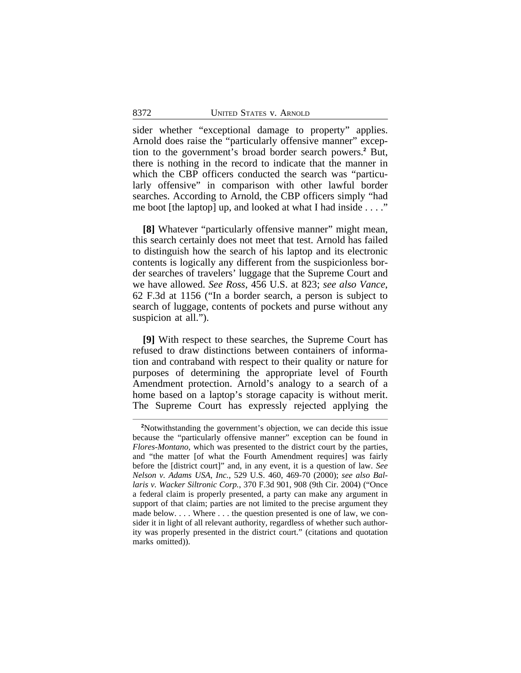sider whether "exceptional damage to property" applies. Arnold does raise the "particularly offensive manner" exception to the government's broad border search powers.**<sup>2</sup>** But, there is nothing in the record to indicate that the manner in which the CBP officers conducted the search was "particularly offensive" in comparison with other lawful border searches. According to Arnold, the CBP officers simply "had me boot [the laptop] up, and looked at what I had inside . . . ."

**[8]** Whatever "particularly offensive manner" might mean, this search certainly does not meet that test. Arnold has failed to distinguish how the search of his laptop and its electronic contents is logically any different from the suspicionless border searches of travelers' luggage that the Supreme Court and we have allowed. *See Ross*, 456 U.S. at 823; *see also Vance*, 62 F.3d at 1156 ("In a border search, a person is subject to search of luggage, contents of pockets and purse without any suspicion at all.").

**[9]** With respect to these searches, the Supreme Court has refused to draw distinctions between containers of information and contraband with respect to their quality or nature for purposes of determining the appropriate level of Fourth Amendment protection. Arnold's analogy to a search of a home based on a laptop's storage capacity is without merit. The Supreme Court has expressly rejected applying the

**<sup>2</sup>**Notwithstanding the government's objection, we can decide this issue because the "particularly offensive manner" exception can be found in *Flores-Montano*, which was presented to the district court by the parties, and "the matter [of what the Fourth Amendment requires] was fairly before the [district court]" and, in any event, it is a question of law. *See Nelson v. Adams USA, Inc.*, 529 U.S. 460, 469-70 (2000); *see also Ballaris v. Wacker Siltronic Corp.*, 370 F.3d 901, 908 (9th Cir. 2004) ("Once a federal claim is properly presented, a party can make any argument in support of that claim; parties are not limited to the precise argument they made below.... Where ... the question presented is one of law, we consider it in light of all relevant authority, regardless of whether such authority was properly presented in the district court." (citations and quotation marks omitted)).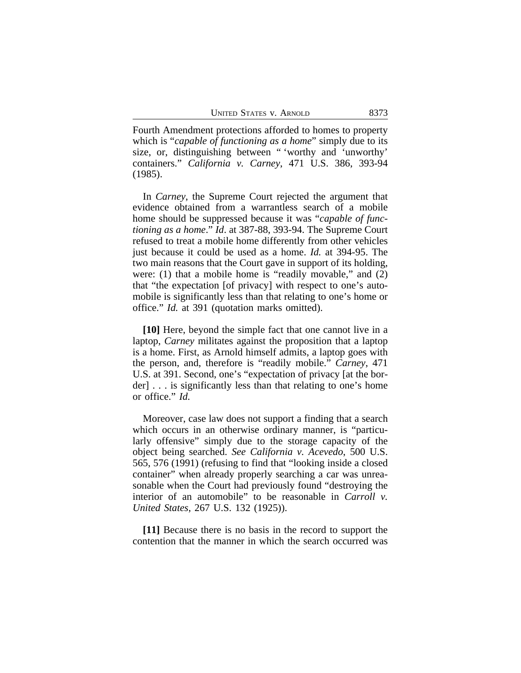Fourth Amendment protections afforded to homes to property which is "*capable of functioning as a home*" simply due to its size, or, distinguishing between " 'worthy and 'unworthy' containers." *California v. Carney*, 471 U.S. 386, 393-94 (1985).

In *Carney*, the Supreme Court rejected the argument that evidence obtained from a warrantless search of a mobile home should be suppressed because it was "*capable of functioning as a home*." *Id*. at 387-88, 393-94. The Supreme Court refused to treat a mobile home differently from other vehicles just because it could be used as a home. *Id.* at 394-95. The two main reasons that the Court gave in support of its holding, were: (1) that a mobile home is "readily movable," and (2) that "the expectation [of privacy] with respect to one's automobile is significantly less than that relating to one's home or office." *Id.* at 391 (quotation marks omitted).

**[10]** Here, beyond the simple fact that one cannot live in a laptop, *Carney* militates against the proposition that a laptop is a home. First, as Arnold himself admits, a laptop goes with the person, and, therefore is "readily mobile." *Carney*, 471 U.S. at 391. Second, one's "expectation of privacy [at the border] . . . is significantly less than that relating to one's home or office." *Id.*

Moreover, case law does not support a finding that a search which occurs in an otherwise ordinary manner, is "particularly offensive" simply due to the storage capacity of the object being searched. *See California v. Acevedo*, 500 U.S. 565, 576 (1991) (refusing to find that "looking inside a closed container" when already properly searching a car was unreasonable when the Court had previously found "destroying the interior of an automobile" to be reasonable in *Carroll v. United States*, 267 U.S. 132 (1925)).

**[11]** Because there is no basis in the record to support the contention that the manner in which the search occurred was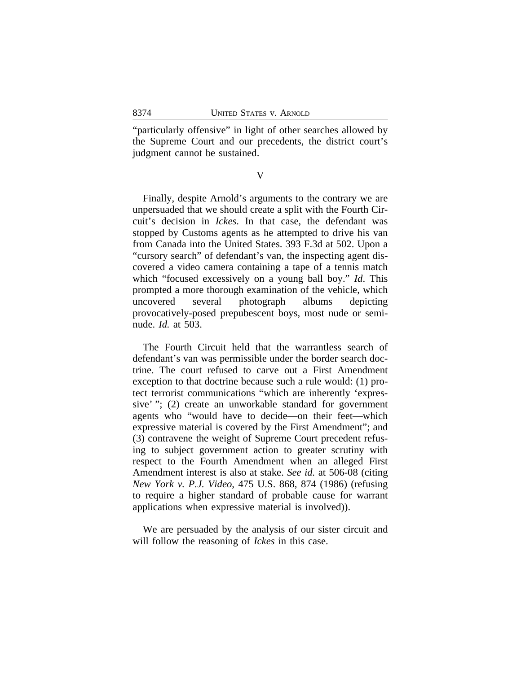"particularly offensive" in light of other searches allowed by the Supreme Court and our precedents, the district court's judgment cannot be sustained.

V

Finally, despite Arnold's arguments to the contrary we are unpersuaded that we should create a split with the Fourth Circuit's decision in *Ickes*. In that case, the defendant was stopped by Customs agents as he attempted to drive his van from Canada into the United States. 393 F.3d at 502. Upon a "cursory search" of defendant's van, the inspecting agent discovered a video camera containing a tape of a tennis match which "focused excessively on a young ball boy." *Id*. This prompted a more thorough examination of the vehicle, which uncovered several photograph albums depicting provocatively-posed prepubescent boys, most nude or seminude. *Id.* at 503.

The Fourth Circuit held that the warrantless search of defendant's van was permissible under the border search doctrine. The court refused to carve out a First Amendment exception to that doctrine because such a rule would: (1) protect terrorist communications "which are inherently 'expressive' "; (2) create an unworkable standard for government agents who "would have to decide—on their feet—which expressive material is covered by the First Amendment"; and (3) contravene the weight of Supreme Court precedent refusing to subject government action to greater scrutiny with respect to the Fourth Amendment when an alleged First Amendment interest is also at stake. *See id.* at 506-08 (citing *New York v. P.J. Video*, 475 U.S. 868, 874 (1986) (refusing to require a higher standard of probable cause for warrant applications when expressive material is involved)).

We are persuaded by the analysis of our sister circuit and will follow the reasoning of *Ickes* in this case.